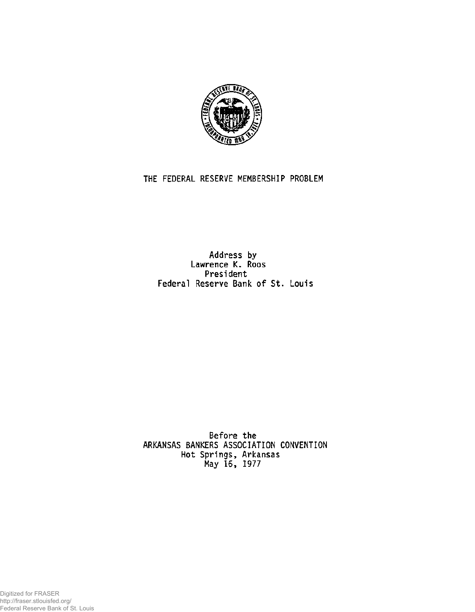

## **THE FEDERAL RESERVE MEMBERSHIP PROBLEM**

**Address by Lawrence K. Roos President Federal Reserve Bank of St. Louis** 

**Before the ARKANSAS BANKERS ASSOCIATION CONVENTION Hot Springs, Arkansas May 16, 1977**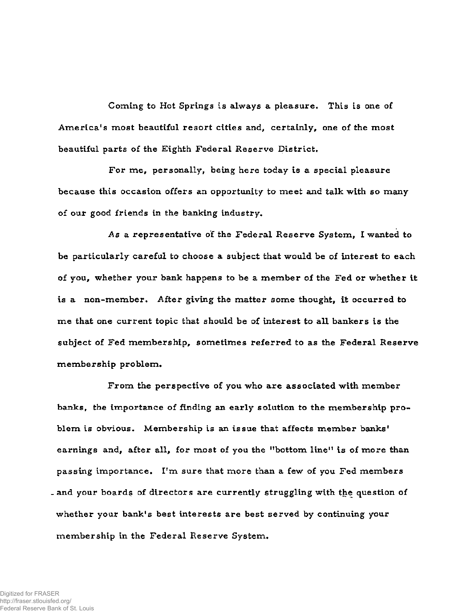**Coming to Hot Springs is always a pleasure. This is one of America's most beautiful resort cities and, certainly, one of the most beautiful parts of the Eighth Federal Reserve District.** 

**For me , personally, being here today is a special pleasure because this occasion offers an opportunity to meet and talk with so many of our good friends in the banking industry.** 

*As* **a representative of the Federal Reserve System, I wanted to be particularly careful to choose a subject that would be of interest to each of you, whether your bank happens to be a member of the Fed or whether it is a non-member. After giving the matter some thought, it occurred to me that one current topic that should be of interest to all bankers is the subject of Fed membership, sometimes referred to as the Federal Reserve membership problem.** 

**From the perspective of you who are associated with member banks, the importance of finding an early solution to the membership problem is obvious. Membership is an issue that affects member banks<sup>1</sup>** earnings and, after all, for most of you the "bottom line" is of more than **passing importance. I'm sure that more than a few of you Fed members -and your boards of directors are currently struggling with the question of whether your bank<sup>f</sup> s best interests are best served by continuing your membership in the Federal Reserve System.**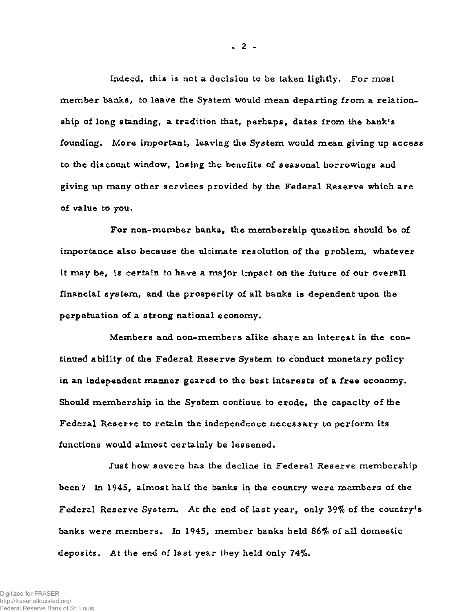**Indeed, this is not a decision to be taken lightly. For most member banks, to leave the System would mean departing from a relationship of long standing, a tradition that, perhaps, dates from the bank's founding. More important, leaving the System would mean giving up access to the discount window, losing the benefits of seasonal borrowings and giving up many other service s provided by the Federal Reserve which are of value to you.** 

**For non-member banks, the membership question should be of importance also because the ultimate resolution of the problem, whatever it may be, is certain to have a major impact on the future of our overall financial system, and the prosperity of all banks is dependent upon the perpetuation of a strong national economy.** 

**Members and non-members alike share an interest in the continued ability of the Federal Reserve System to conduct monetary policy in an independent manner geared to the best interests of a free economy. Should membership in the System continue to erode, the capacity of the Federal Reserve to retain the independence necessary to perform its functions would almost certainly be lessened.** 

**Just how sever e has the decline in Federal Reserve membership been? In 1945, almost half the banks in the country were members of the Federal Reserve System. At the end of last year, only 39% of the country's banks were members. In 1945, member banks held 86% of all domestic deposits. At the end of last year they held only 74%.** 

**- 2 -**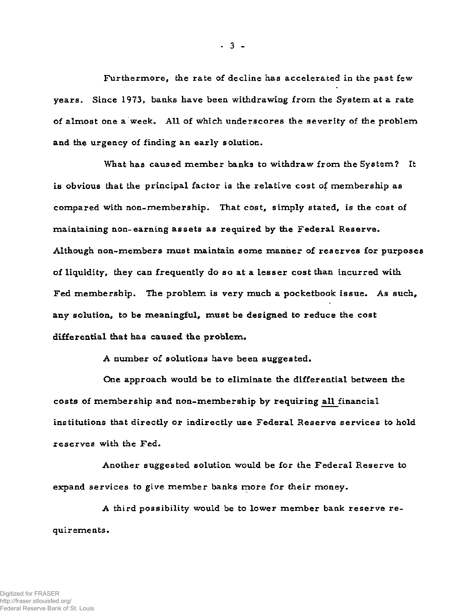**Furthermore, the rate of decline has accelerated in the past few**  years. Since 1973, banks have been withdrawing from the System at a rate **of almost one a week. All of which underscores the severity of the problem and the urgency of finding an early solution.** 

**What has caused member banks to withdraw from the System? It is obvious that the principal factor is the relative cost of membership as compared with non-membership. That cost, simply stated, is the cost of maintaining non-earning assets as required by the Federal Reserve.**  Although non-members must maintain some manner of reserves for purposes **of liquidity, they can frequently do so at a lesse r cost than incurred with**  Fed membership. The problem is very much a pocketbook issue. As such, **any solution, to be meaningful, must be designed to reduce the cost differential that has caused the problem.** 

**A number of solutions have been suggested.** 

**One approach would be to eliminate the differential between the costs of membership and non-membership by requiring all financial**  institutions that directly or indirectly use Federal Reserve services to hold **reserve s with the Fed.** 

**Another suggested solution would be for the Federal Reserve to expand services to give member banks more for their money.** 

**A third possibility would be to lower member bank reserve requirements.** 

**- 3 -**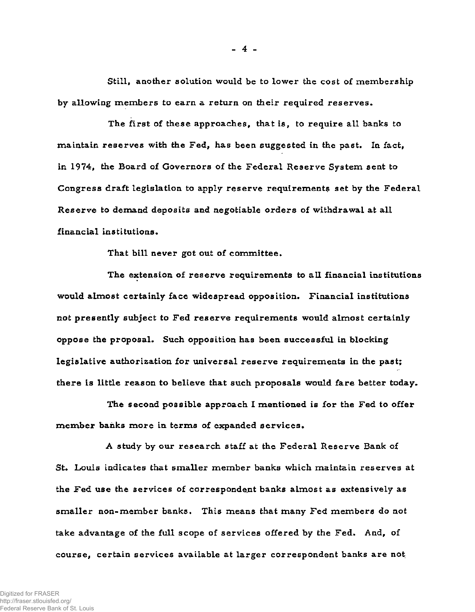**Still, another solution would be to lower the cost of membership by allowing members to earn a return on their required reserves.** 

**The first of these approaches, that is, to require all banks to maintain reserve s with the Fed, has been suggested in the past. In fact, in 1974, the Board of Governors of the Federal Reserve System sent to Congress draft legislation to apply reserve requirements set by the Federal Reserve to demand deposits and negotiable orders of withdrawal at all financial institutions.** 

**That bill never got out of committee.** 

**The extension of reserve requirements to all financial institutions would almost certainly face widespread opposition. Financial institutions not presently subject to Fed reserve requirements would almost certainly oppose the proposal. Such opposition has been successful in blocking legislative authorization for universal reserve requirements in the past; there is little reason to believe that such proposals would fare better today.** 

**The second possible approach I mentioned is for the Fed to offer member banks more in terms of expanded services.** 

**A study by our research staff at the Federal Reserve Bank of St. Louis indicates that smaller member banks which maintain reserve s at the Fed use the services of correspondent banks almost as extensively as**  smaller non-member banks. This means that many Fed members do not **take advantage of the full scope of service s offered by the Fed. And, of course, certain services available at larger correspondent banks are not** 

**- 4 -**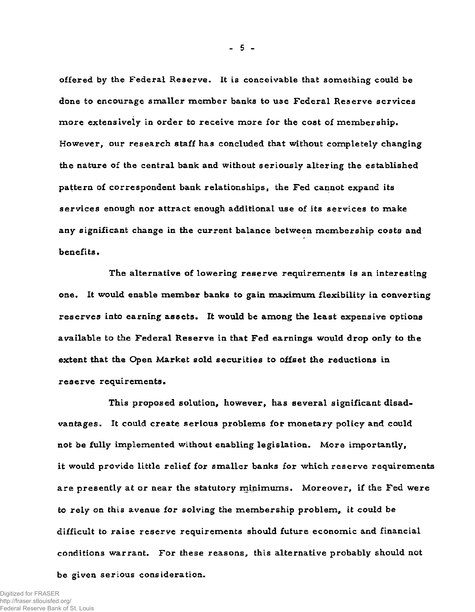**offered by the Federal Reserve, It is conceivable that something could be done to encourage smaller member banks to use Federal Reserve services more extensively in order to receive more for the cost of membership. However, our research staff has concluded that without completely changing the nature of the central bank and without seriously altering the established pattern of correspondent bank relationships, the Fed cannot expand its service s enough nor attract enough additional use of its service s to make any significant change in the current balance between membership costs and benefits.** 

**The alternative of lowering reserve requirements is an interesting one. It would enable member banks to gain maximum flexibility in converting reserve s into earning assets. It would be among the least expensive options available to the Federal Reserve in that Fed earnings would drop only to the extent that the Open Market sold securities to offset the reductions in reserve requirements.** 

**This proposed solution, however, has several significant disadvantages. It could create serious problems for monetary policy and could not be fully implemented without enabling legislation. More importantly, it would provide little relief for smaller banks for which reserve requirements are presently at or near the statutory minimums. Moreover, if the Fed were to rely on this avenue for solving the membership problem, it could be difficult to raise reserve requirements should future economic and financial conditions warrant. For these reasons, this alternative probably should not**  be given serious consideration.

**- 5 -**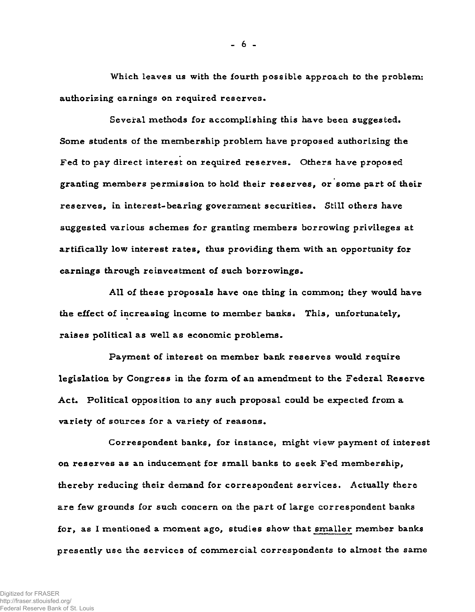**Which leaves us with the fourth possible approach to the problem: authorizing earnings on required reserves.** 

**Several methods for accomplishing this have been suggested. Some students of the membership problem have proposed authorizing the Fed to pay direct interest on required reserves. Others have proposed granting members permission to hold their reserves, or some part of their reserves, in interest-bearing government securities. Still others have suggested various schemes for granting members borrowing privileges at artifically low interest rates, thus providing them with an opportunity for earnings through reinvestment of such borrowings.** 

**All of these proposals have one thing in common; they would have**  the effect of increasing income to member banks. This, unfortunately, **raise s political as well as economic problems.** 

Payment of interest on member bank reserves would require **legislation by Congress in the form of an amendment to the Federal Reserve Act. Political opposition to any such proposal could be expected from a variety of sources for a variety of reasons.** 

**Correspondent banks, for instance, might view payment of interest on reserve s as an inducement for small banks to seek Fed membership, thereby reducing their demand for correspondent services. Actually there are few grounds for such concern on the part of large correspondent banks for, as I mentioned a moment ago, studies show that smaller member banks**  presently use the services of commercial correspondents to almost the same

**- 6 -**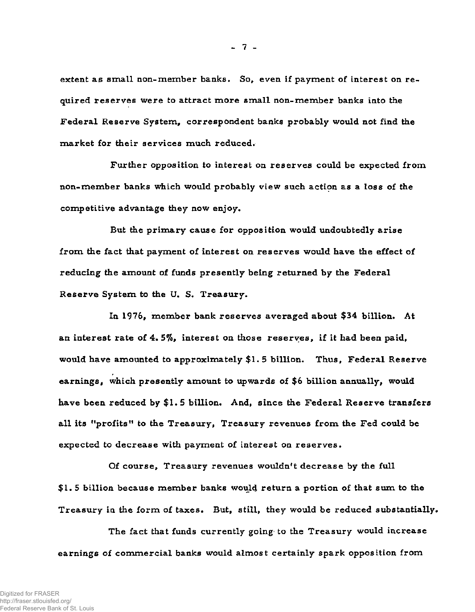**extent as small non-member banks. So, even if payment of interest on required reserve s were to attract more small non-member banks into the Federal Reserve System, correspondent banks probably would not find the market for their services much reduced.** 

Further opposition to interest on reserves could be expected from **non-member banks which would probably view such action as a loss of the competitive advantage they now enjoy.** 

**But the primary cause for opposition would undoubtedly arise from the fact that payment of interest on reserve s would have the effect of reducing the amount of funds presently being returned by the Federal Reserve System to the U. S. Treasury.** 

**In 1976, member bank reserve s averaged about \$34 billion. At an interest rate of 4. 5%, interest on those reserves, if it had been paid, would have amounted to approximately \$1.5 billion. Thus, Federal Reserve earnings, which presently amount to upwards of \$6 billion annually, would have been reduced by \$1. 5 billion. And, since the Federal Reserve transfers all its "profits" to the Treasury, Treasury revenues from the Fed could be expected to decrease with payment of interest on reserves.** 

**Of course, Treasury revenues wouldn't decreas e by the full \$1. 5 billion because member banks would return a portion of that sum to the Treasury in the form of taxes. But, still, they would be reduced substantially.** 

**The fact that funds currently going to the Treasury would increase earnings of commercial banks would almost certainly spark opposition from** 

**- 7 -**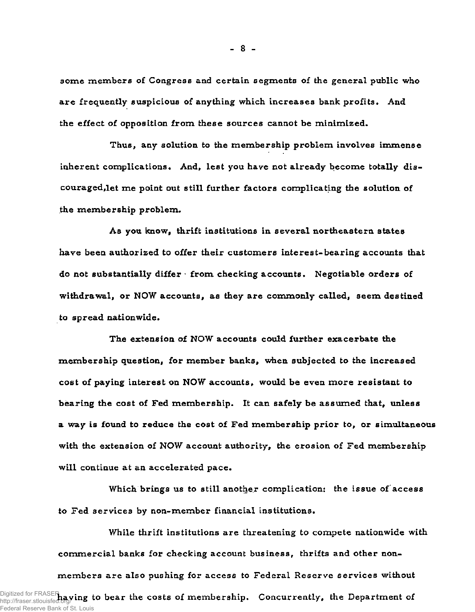**some members of Congress and certain segments of the general public who are frequently suspicious of anything which increases bank profits. And the effect of opposition from these sources cannot be minimized.** 

**Thus, any solution to the membership problem involves immense inherent complications. And, lest you have not already become totally discouraged,let me point out still further factors complicating the solution of the membership problem.** 

**As you know, thrift institutions in several northeastern states have been authorized to offer their customers interest-bearing accounts that do not substantially differ from checking accounts. Negotiable orders of withdrawal, or NOW accounts, as they are commonly called, seem destined to spread nationwide.** 

**The extension of NOW accounts could further exacerbate the membership question, for member banks, when subjected to the increased cost of paying interest on NOW accounts, would be even more resistant to bearing the cost of Fed membership. It can safely be assumed that, unless a way is found to reduce the cost of Fed membership prior to, or simultaneous with the extension of NOW account authority, the erosion of Fed membership will continue at an accelerated pace.** 

**Which brings us to still another complication: the issue of access**  to Fed services by non-member financial institutions.

**While thrift institutions are threatening to compete nationwide with commercial banks for checking account business, thrifts and other nonmember s are also pushing for access to Federal Reserve service s without**  Digitized for FRASER **having to bear the costs of membership.** Concurrently, the Department of

http://fraser.stlouisfed.org/ Federal Reserve Bank of St. Louis **- 8 -**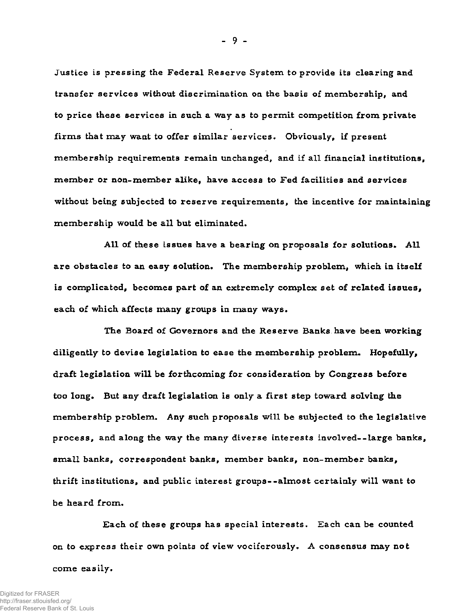**Justice is pressing the Federal Reserve System to provide its clearing and**  transfer services without discrimination on the basis of membership, and **to price these services in such a way as to permit competition from private**  firms that may want to offer similar services. Obviously, if present **membership requirements remain unchanged, and if all financial institutions, member or non-member alike, have access to Fed facilities and service s without being subjected to reserve requirements, the incentive for maintaining**  membership would be all but eliminated.

**All of these issues have a bearing on proposals for solutions. All**  are obstacles to an easy solution. The membership problem, which in itself **is complicated, becomes part of an extremely complex set of related issues,**  each of which affects many groups in many ways.

**The Board of Governors and the Reserve Banks have been working diligently to devise legislation to ease the membership problem. Hopefully, draft legislation will be forthcoming for consideration by** *Congress* **before too long. But any draft legislation is only a first step toward solving the membership problem. Any such proposals will be subjected to the legislative process, and along the way the many diverse interests involved--large banks, small banks, correspondent banks, member banks, non-member banks, thrift institutions, and public interest groups — almost certainly will want to**  be heard from.

Each of these groups has special interests. Each can be counted **on to express their own points of view vociferously\* A consensus may not come easily.**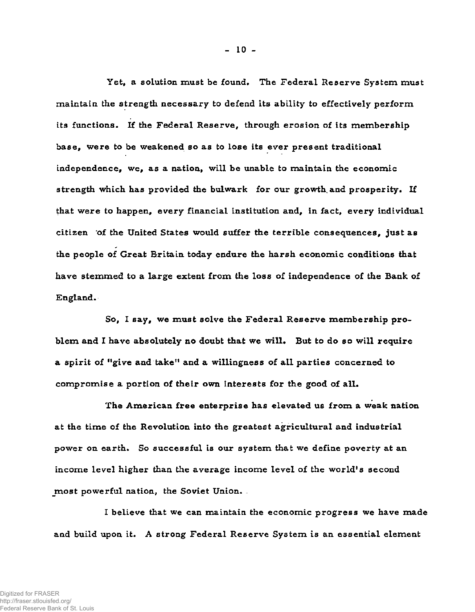**Yet, a solution must be found. The Federal Reserve System must maintain the strength necessary to defend its ability to effectively perform its functions. If the Federal Reserve, through erosion of its membership base, were to be weakened so as to lose its ever present traditional independence, we, as a nation, will be unable to maintain the economic strength which has provided the bulwark for our growth.and prosperity. If that were to happen, every financial institution and, in fact, every individual citizen of the United States would suffer the terrible consequences, just as the people of Great Britain today endure the harsh economic conditions that have stemmed to a large extent from the loss of independence of the Bank of England.** 

**So, I say, we must solve the Federal Reserve membership problem and I have absolutely no doubt that we will. But to do so will require a spirit of "give and take<sup>11</sup> and a willingness of all parties concerned to compromise a portion of their own interests for the good of all.** 

**The American free enterprise has elevated us from a weak nation at the time of the Revolution into the greatest agricultural and industrial power on earth. So successful is our system that we define poverty at an income level higher than the average income level of the world's second**  most powerful nation, the Soviet Union.

**I believe that we can maintain the economic progress we have made and build upon it. A strong Federal Reserve System is an essential element**